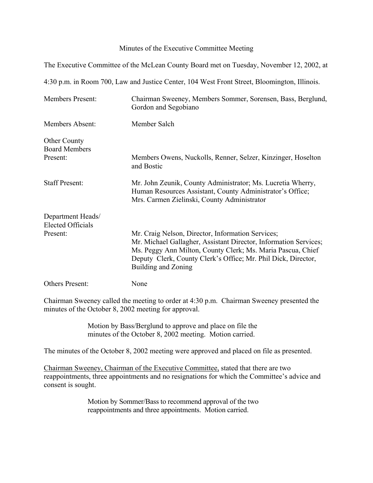## Minutes of the Executive Committee Meeting

The Executive Committee of the McLean County Board met on Tuesday, November 12, 2002, at

4:30 p.m. in Room 700, Law and Justice Center, 104 West Front Street, Bloomington, Illinois.

| <b>Members Present:</b>                       | Chairman Sweeney, Members Sommer, Sorensen, Bass, Berglund,<br>Gordon and Segobiano                                                                                                                                                                                          |
|-----------------------------------------------|------------------------------------------------------------------------------------------------------------------------------------------------------------------------------------------------------------------------------------------------------------------------------|
| <b>Members Absent:</b>                        | Member Salch                                                                                                                                                                                                                                                                 |
| <b>Other County</b><br><b>Board Members</b>   |                                                                                                                                                                                                                                                                              |
| Present:                                      | Members Owens, Nuckolls, Renner, Selzer, Kinzinger, Hoselton<br>and Bostic                                                                                                                                                                                                   |
| <b>Staff Present:</b>                         | Mr. John Zeunik, County Administrator; Ms. Lucretia Wherry,<br>Human Resources Assistant, County Administrator's Office;<br>Mrs. Carmen Zielinski, County Administrator                                                                                                      |
| Department Heads/<br><b>Elected Officials</b> |                                                                                                                                                                                                                                                                              |
| Present:                                      | Mr. Craig Nelson, Director, Information Services;<br>Mr. Michael Gallagher, Assistant Director, Information Services;<br>Ms. Peggy Ann Milton, County Clerk; Ms. Maria Pascua, Chief<br>Deputy Clerk, County Clerk's Office; Mr. Phil Dick, Director,<br>Building and Zoning |
| <b>Others Present:</b>                        | None                                                                                                                                                                                                                                                                         |

Chairman Sweeney called the meeting to order at 4:30 p.m. Chairman Sweeney presented the minutes of the October 8, 2002 meeting for approval.

> Motion by Bass/Berglund to approve and place on file the minutes of the October 8, 2002 meeting. Motion carried.

The minutes of the October 8, 2002 meeting were approved and placed on file as presented.

Chairman Sweeney, Chairman of the Executive Committee, stated that there are two reappointments, three appointments and no resignations for which the Committee's advice and consent is sought.

> Motion by Sommer/Bass to recommend approval of the two reappointments and three appointments. Motion carried.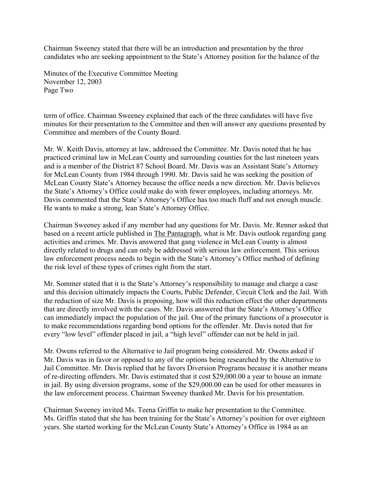Chairman Sweeney stated that there will be an introduction and presentation by the three candidates who are seeking appointment to the State's Attorney position for the balance of the

Minutes of the Executive Committee Meeting November 12, 2003 Page Two

term of office. Chairman Sweeney explained that each of the three candidates will have five minutes for their presentation to the Committee and then will answer any questions presented by Committee and members of the County Board.

Mr. W. Keith Davis, attorney at law, addressed the Committee. Mr. Davis noted that he has practiced criminal law in McLean County and surrounding counties for the last nineteen years and is a member of the District 87 School Board. Mr. Davis was an Assistant State's Attorney for McLean County from 1984 through 1990. Mr. Davis said he was seeking the position of McLean County State's Attorney because the office needs a new direction. Mr. Davis believes the State's Attorney's Office could make do with fewer employees, including attorneys. Mr. Davis commented that the State's Attorney's Office has too much fluff and not enough muscle. He wants to make a strong, lean State's Attorney Office.

Chairman Sweeney asked if any member had any questions for Mr. Davis. Mr. Renner asked that based on a recent article published in The Pantagraph, what is Mr. Davis outlook regarding gang activities and crimes. Mr. Davis answered that gang violence in McLean County is almost directly related to drugs and can only be addressed with serious law enforcement. This serious law enforcement process needs to begin with the State's Attorney's Office method of defining the risk level of these types of crimes right from the start.

Mr. Sommer stated that it is the State's Attorney's responsibility to manage and charge a case and this decision ultimately impacts the Courts, Public Defender, Circuit Clerk and the Jail. With the reduction of size Mr. Davis is proposing, how will this reduction effect the other departments that are directly involved with the cases. Mr. Davis answered that the State's Attorney's Office can immediately impact the population of the jail. One of the primary functions of a prosecutor is to make recommendations regarding bond options for the offender. Mr. Davis noted that for every "low level" offender placed in jail, a "high level" offender can not be held in jail.

Mr. Owens referred to the Alternative to Jail program being considered. Mr. Owens asked if Mr. Davis was in favor or opposed to any of the options being researched by the Alternative to Jail Committee. Mr. Davis replied that he favors Diversion Programs because it is another means of re-directing offenders. Mr. Davis estimated that it cost \$29,000.00 a year to house an inmate in jail. By using diversion programs, some of the \$29,000.00 can be used for other measures in the law enforcement process. Chairman Sweeney thanked Mr. Davis for his presentation.

Chairman Sweeney invited Ms. Teena Griffin to make her presentation to the Committee. Ms. Griffin stated that she has been training for the State's Attorney's position for over eighteen years. She started working for the McLean County State's Attorney's Office in 1984 as an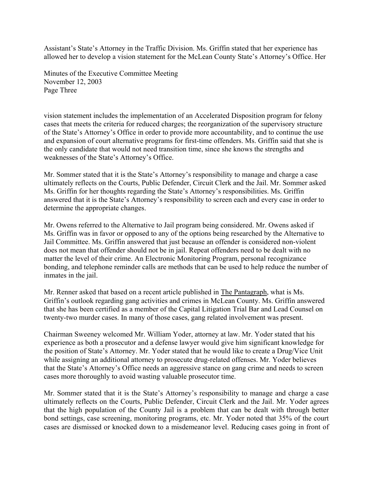Assistant's State's Attorney in the Traffic Division. Ms. Griffin stated that her experience has allowed her to develop a vision statement for the McLean County State's Attorney's Office. Her

Minutes of the Executive Committee Meeting November 12, 2003 Page Three

vision statement includes the implementation of an Accelerated Disposition program for felony cases that meets the criteria for reduced charges; the reorganization of the supervisory structure of the State's Attorney's Office in order to provide more accountability, and to continue the use and expansion of court alternative programs for first-time offenders. Ms. Griffin said that she is the only candidate that would not need transition time, since she knows the strengths and weaknesses of the State's Attorney's Office.

Mr. Sommer stated that it is the State's Attorney's responsibility to manage and charge a case ultimately reflects on the Courts, Public Defender, Circuit Clerk and the Jail. Mr. Sommer asked Ms. Griffin for her thoughts regarding the State's Attorney's responsibilities. Ms. Griffin answered that it is the State's Attorney's responsibility to screen each and every case in order to determine the appropriate changes.

Mr. Owens referred to the Alternative to Jail program being considered. Mr. Owens asked if Ms. Griffin was in favor or opposed to any of the options being researched by the Alternative to Jail Committee. Ms. Griffin answered that just because an offender is considered non-violent does not mean that offender should not be in jail. Repeat offenders need to be dealt with no matter the level of their crime. An Electronic Monitoring Program, personal recognizance bonding, and telephone reminder calls are methods that can be used to help reduce the number of inmates in the jail.

Mr. Renner asked that based on a recent article published in The Pantagraph, what is Ms. Griffin's outlook regarding gang activities and crimes in McLean County. Ms. Griffin answered that she has been certified as a member of the Capital Litigation Trial Bar and Lead Counsel on twenty-two murder cases. In many of those cases, gang related involvement was present.

Chairman Sweeney welcomed Mr. William Yoder, attorney at law. Mr. Yoder stated that his experience as both a prosecutor and a defense lawyer would give him significant knowledge for the position of State's Attorney. Mr. Yoder stated that he would like to create a Drug/Vice Unit while assigning an additional attorney to prosecute drug-related offenses. Mr. Yoder believes that the State's Attorney's Office needs an aggressive stance on gang crime and needs to screen cases more thoroughly to avoid wasting valuable prosecutor time.

Mr. Sommer stated that it is the State's Attorney's responsibility to manage and charge a case ultimately reflects on the Courts, Public Defender, Circuit Clerk and the Jail. Mr. Yoder agrees that the high population of the County Jail is a problem that can be dealt with through better bond settings, case screening, monitoring programs, etc. Mr. Yoder noted that 35% of the court cases are dismissed or knocked down to a misdemeanor level. Reducing cases going in front of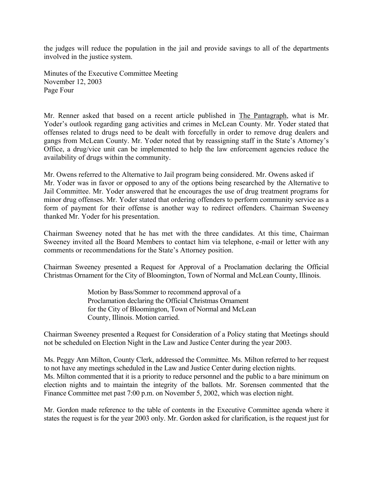the judges will reduce the population in the jail and provide savings to all of the departments involved in the justice system.

Minutes of the Executive Committee Meeting November 12, 2003 Page Four

Mr. Renner asked that based on a recent article published in The Pantagraph, what is Mr. Yoder's outlook regarding gang activities and crimes in McLean County. Mr. Yoder stated that offenses related to drugs need to be dealt with forcefully in order to remove drug dealers and gangs from McLean County. Mr. Yoder noted that by reassigning staff in the State's Attorney's Office, a drug/vice unit can be implemented to help the law enforcement agencies reduce the availability of drugs within the community.

Mr. Owens referred to the Alternative to Jail program being considered. Mr. Owens asked if Mr. Yoder was in favor or opposed to any of the options being researched by the Alternative to Jail Committee. Mr. Yoder answered that he encourages the use of drug treatment programs for minor drug offenses. Mr. Yoder stated that ordering offenders to perform community service as a form of payment for their offense is another way to redirect offenders. Chairman Sweeney thanked Mr. Yoder for his presentation.

Chairman Sweeney noted that he has met with the three candidates. At this time, Chairman Sweeney invited all the Board Members to contact him via telephone, e-mail or letter with any comments or recommendations for the State's Attorney position.

Chairman Sweeney presented a Request for Approval of a Proclamation declaring the Official Christmas Ornament for the City of Bloomington, Town of Normal and McLean County, Illinois.

> Motion by Bass/Sommer to recommend approval of a Proclamation declaring the Official Christmas Ornament for the City of Bloomington, Town of Normal and McLean County, Illinois. Motion carried.

Chairman Sweeney presented a Request for Consideration of a Policy stating that Meetings should not be scheduled on Election Night in the Law and Justice Center during the year 2003.

Ms. Peggy Ann Milton, County Clerk, addressed the Committee. Ms. Milton referred to her request to not have any meetings scheduled in the Law and Justice Center during election nights. Ms. Milton commented that it is a priority to reduce personnel and the public to a bare minimum on election nights and to maintain the integrity of the ballots. Mr. Sorensen commented that the Finance Committee met past 7:00 p.m. on November 5, 2002, which was election night.

Mr. Gordon made reference to the table of contents in the Executive Committee agenda where it states the request is for the year 2003 only. Mr. Gordon asked for clarification, is the request just for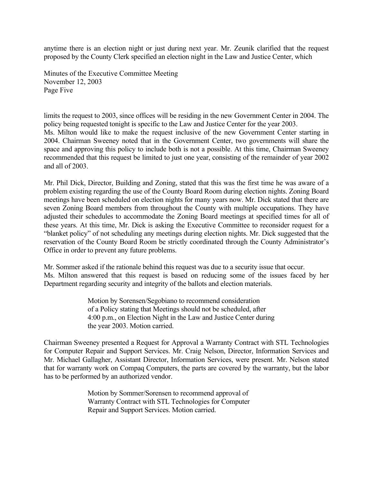anytime there is an election night or just during next year. Mr. Zeunik clarified that the request proposed by the County Clerk specified an election night in the Law and Justice Center, which

Minutes of the Executive Committee Meeting November 12, 2003 Page Five

limits the request to 2003, since offices will be residing in the new Government Center in 2004. The policy being requested tonight is specific to the Law and Justice Center for the year 2003. Ms. Milton would like to make the request inclusive of the new Government Center starting in 2004. Chairman Sweeney noted that in the Government Center, two governments will share the space and approving this policy to include both is not a possible. At this time, Chairman Sweeney recommended that this request be limited to just one year, consisting of the remainder of year 2002 and all of 2003.

Mr. Phil Dick, Director, Building and Zoning, stated that this was the first time he was aware of a problem existing regarding the use of the County Board Room during election nights. Zoning Board meetings have been scheduled on election nights for many years now. Mr. Dick stated that there are seven Zoning Board members from throughout the County with multiple occupations. They have adjusted their schedules to accommodate the Zoning Board meetings at specified times for all of these years. At this time, Mr. Dick is asking the Executive Committee to reconsider request for a "blanket policy" of not scheduling any meetings during election nights. Mr. Dick suggested that the reservation of the County Board Room be strictly coordinated through the County Administrator's Office in order to prevent any future problems.

Mr. Sommer asked if the rationale behind this request was due to a security issue that occur. Ms. Milton answered that this request is based on reducing some of the issues faced by her Department regarding security and integrity of the ballots and election materials.

> Motion by Sorensen/Segobiano to recommend consideration of a Policy stating that Meetings should not be scheduled, after 4:00 p.m., on Election Night in the Law and Justice Center during the year 2003. Motion carried.

Chairman Sweeney presented a Request for Approval a Warranty Contract with STL Technologies for Computer Repair and Support Services. Mr. Craig Nelson, Director, Information Services and Mr. Michael Gallagher, Assistant Director, Information Services, were present. Mr. Nelson stated that for warranty work on Compaq Computers, the parts are covered by the warranty, but the labor has to be performed by an authorized vendor.

> Motion by Sommer/Sorensen to recommend approval of Warranty Contract with STL Technologies for Computer Repair and Support Services. Motion carried.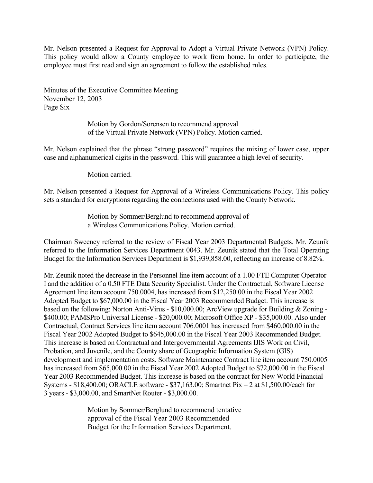Mr. Nelson presented a Request for Approval to Adopt a Virtual Private Network (VPN) Policy. This policy would allow a County employee to work from home. In order to participate, the employee must first read and sign an agreement to follow the established rules.

Minutes of the Executive Committee Meeting November 12, 2003 Page Six

> Motion by Gordon/Sorensen to recommend approval of the Virtual Private Network (VPN) Policy. Motion carried.

Mr. Nelson explained that the phrase "strong password" requires the mixing of lower case, upper case and alphanumerical digits in the password. This will guarantee a high level of security.

Motion carried.

Mr. Nelson presented a Request for Approval of a Wireless Communications Policy. This policy sets a standard for encryptions regarding the connections used with the County Network.

> Motion by Sommer/Berglund to recommend approval of a Wireless Communications Policy. Motion carried.

Chairman Sweeney referred to the review of Fiscal Year 2003 Departmental Budgets. Mr. Zeunik referred to the Information Services Department 0043. Mr. Zeunik stated that the Total Operating Budget for the Information Services Department is \$1,939,858.00, reflecting an increase of 8.82%.

Mr. Zeunik noted the decrease in the Personnel line item account of a 1.00 FTE Computer Operator I and the addition of a 0.50 FTE Data Security Specialist. Under the Contractual, Software License Agreement line item account 750.0004, has increased from \$12,250.00 in the Fiscal Year 2002 Adopted Budget to \$67,000.00 in the Fiscal Year 2003 Recommended Budget. This increase is based on the following: Norton Anti-Virus - \$10,000.00; ArcView upgrade for Building & Zoning - \$400.00; PAMSPro Universal License - \$20,000.00; Microsoft Office XP - \$35,000.00. Also under Contractual, Contract Services line item account 706.0001 has increased from \$460,000.00 in the Fiscal Year 2002 Adopted Budget to \$645,000.00 in the Fiscal Year 2003 Recommended Budget. This increase is based on Contractual and Intergovernmental Agreements IJIS Work on Civil, Probation, and Juvenile, and the County share of Geographic Information System (GIS) development and implementation costs. Software Maintenance Contract line item account 750.0005 has increased from \$65,000.00 in the Fiscal Year 2002 Adopted Budget to \$72,000.00 in the Fiscal Year 2003 Recommended Budget. This increase is based on the contract for New World Financial Systems - \$18,400.00; ORACLE software - \$37,163.00; Smartnet Pix – 2 at \$1,500.00/each for 3 years - \$3,000.00, and SmartNet Router - \$3,000.00.

> Motion by Sommer/Berglund to recommend tentative approval of the Fiscal Year 2003 Recommended Budget for the Information Services Department.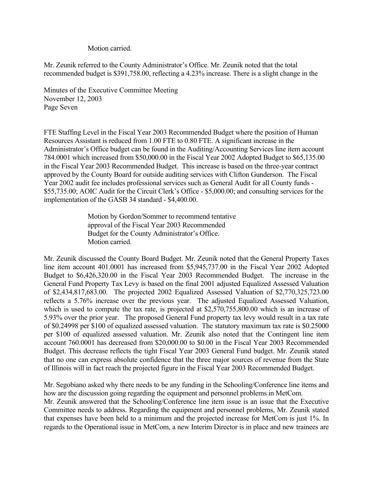Motion carried.

Mr. Zeunik referred to the County Administrator's Office. Mr. Zeunik noted that the total recommended budget is \$391,758.00, reflecting a 4.23% increase. There is a slight change in the

Minutes of the Executive Committee Meeting November 12, 2003 Page Seven

FTE Staffing Level in the Fiscal Year 2003 Recommended Budget where the position of Human Resources Assistant is reduced from 1.00 FTE to 0.80 FTE. A significant increase in the Administrator's Office budget can be found in the Auditing/Accounting Services line item account 784.0001 which increased from \$50,000.00 in the Fiscal Year 2002 Adopted Budget to \$65,135.00 in the Fiscal Year 2003 Recommended Budget. This increase is based on the three-year contract approved by the County Board for outside auditing services with Clifton Gunderson. The Fiscal Year 2002 audit fee includes professional services such as General Audit for all County funds - \$55,735.00; AOIC Audit for the Circuit Clerk's Office - \$5,000.00; and consulting services for the implementation of the GASB 34 standard - \$4,400.00.

> Motion by Gordon/Sommer to recommend tentative approval of the Fiscal Year 2003 Recommended Budget for the County Administrator's Office. Motion carried.

Mr. Zeunik discussed the County Board Budget. Mr. Zeunik noted that the General Property Taxes line item account 401.0001 has increased from \$5,945,737.00 in the Fiscal Year 2002 Adopted Budget to \$6,426,320.00 in the Fiscal Year 2003 Recommended Budget. The increase in the General Fund Property Tax Levy is based on the final 2001 adjusted Equalized Assessed Valuation of \$2,434,817,683.00. The projected 2002 Equalized Assessed Valuation of \$2,770,325,723.00 reflects a 5.76% increase over the previous year. The adjusted Equalized Assessed Valuation, which is used to compute the tax rate, is projected at \$2,570,755,800.00 which is an increase of 5.93% over the prior year. The proposed General Fund property tax levy would result in a tax rate of \$0.24998 per \$100 of equalized assessed valuation. The statutory maximum tax rate is \$0.25000 per \$100 of equalized assessed valuation. Mr. Zeunik also noted that the Contingent line item account 760.0001 has decreased from \$20,000.00 to \$0.00 in the Fiscal Year 2003 Recommended Budget. This decrease reflects the tight Fiscal Year 2003 General Fund budget. Mr. Zeunik stated that no one can express absolute confidence that the three major sources of revenue from the State of Illinois will in fact reach the projected figure in the Fiscal Year 2003 Recommended Budget.

Mr. Segobiano asked why there needs to be any funding in the Schooling/Conference line items and how are the discussion going regarding the equipment and personnel problems in MetCom.

Mr. Zeunik answered that the Schooling/Conference line item issue is an issue that the Executive Committee needs to address. Regarding the equipment and personnel problems, Mr. Zeunik stated that expenses have been held to a minimum and the projected increase for MetCom is just 1%. In regards to the Operational issue in MetCom, a new Interim Director is in place and new trainees are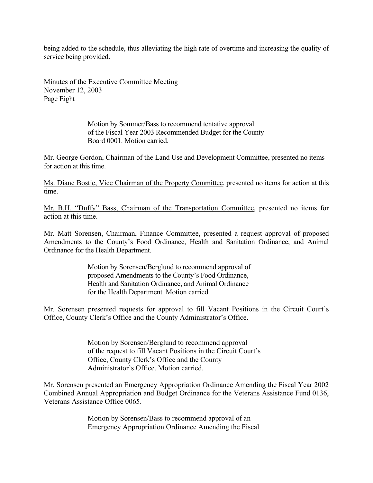being added to the schedule, thus alleviating the high rate of overtime and increasing the quality of service being provided.

Minutes of the Executive Committee Meeting November 12, 2003 Page Eight

> Motion by Sommer/Bass to recommend tentative approval of the Fiscal Year 2003 Recommended Budget for the County Board 0001. Motion carried.

Mr. George Gordon, Chairman of the Land Use and Development Committee, presented no items for action at this time.

Ms. Diane Bostic, Vice Chairman of the Property Committee, presented no items for action at this time.

Mr. B.H. "Duffy" Bass, Chairman of the Transportation Committee, presented no items for action at this time.

Mr. Matt Sorensen, Chairman, Finance Committee, presented a request approval of proposed Amendments to the County's Food Ordinance, Health and Sanitation Ordinance, and Animal Ordinance for the Health Department.

> Motion by Sorensen/Berglund to recommend approval of proposed Amendments to the County's Food Ordinance, Health and Sanitation Ordinance, and Animal Ordinance for the Health Department. Motion carried.

Mr. Sorensen presented requests for approval to fill Vacant Positions in the Circuit Court's Office, County Clerk's Office and the County Administrator's Office.

> Motion by Sorensen/Berglund to recommend approval of the request to fill Vacant Positions in the Circuit Court's Office, County Clerk's Office and the County Administrator's Office. Motion carried.

Mr. Sorensen presented an Emergency Appropriation Ordinance Amending the Fiscal Year 2002 Combined Annual Appropriation and Budget Ordinance for the Veterans Assistance Fund 0136, Veterans Assistance Office 0065.

> Motion by Sorensen/Bass to recommend approval of an Emergency Appropriation Ordinance Amending the Fiscal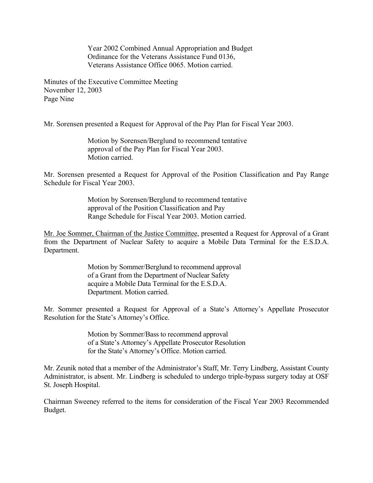Year 2002 Combined Annual Appropriation and Budget Ordinance for the Veterans Assistance Fund 0136, Veterans Assistance Office 0065. Motion carried.

Minutes of the Executive Committee Meeting November 12, 2003 Page Nine

Mr. Sorensen presented a Request for Approval of the Pay Plan for Fiscal Year 2003.

Motion by Sorensen/Berglund to recommend tentative approval of the Pay Plan for Fiscal Year 2003. Motion carried.

Mr. Sorensen presented a Request for Approval of the Position Classification and Pay Range Schedule for Fiscal Year 2003.

> Motion by Sorensen/Berglund to recommend tentative approval of the Position Classification and Pay Range Schedule for Fiscal Year 2003. Motion carried.

Mr. Joe Sommer, Chairman of the Justice Committee, presented a Request for Approval of a Grant from the Department of Nuclear Safety to acquire a Mobile Data Terminal for the E.S.D.A. Department.

> Motion by Sommer/Berglund to recommend approval of a Grant from the Department of Nuclear Safety acquire a Mobile Data Terminal for the E.S.D.A. Department. Motion carried.

Mr. Sommer presented a Request for Approval of a State's Attorney's Appellate Prosecutor Resolution for the State's Attorney's Office.

> Motion by Sommer/Bass to recommend approval of a State's Attorney's Appellate Prosecutor Resolution for the State's Attorney's Office. Motion carried.

Mr. Zeunik noted that a member of the Administrator's Staff, Mr. Terry Lindberg, Assistant County Administrator, is absent. Mr. Lindberg is scheduled to undergo triple-bypass surgery today at OSF St. Joseph Hospital.

Chairman Sweeney referred to the items for consideration of the Fiscal Year 2003 Recommended Budget.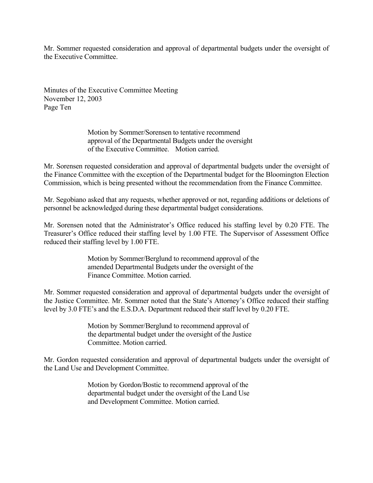Mr. Sommer requested consideration and approval of departmental budgets under the oversight of the Executive Committee.

Minutes of the Executive Committee Meeting November 12, 2003 Page Ten

> Motion by Sommer/Sorensen to tentative recommend approval of the Departmental Budgets under the oversight of the Executive Committee. Motion carried.

Mr. Sorensen requested consideration and approval of departmental budgets under the oversight of the Finance Committee with the exception of the Departmental budget for the Bloomington Election Commission, which is being presented without the recommendation from the Finance Committee.

Mr. Segobiano asked that any requests, whether approved or not, regarding additions or deletions of personnel be acknowledged during these departmental budget considerations.

Mr. Sorensen noted that the Administrator's Office reduced his staffing level by 0.20 FTE. The Treasurer's Office reduced their staffing level by 1.00 FTE. The Supervisor of Assessment Office reduced their staffing level by 1.00 FTE.

> Motion by Sommer/Berglund to recommend approval of the amended Departmental Budgets under the oversight of the Finance Committee. Motion carried.

Mr. Sommer requested consideration and approval of departmental budgets under the oversight of the Justice Committee. Mr. Sommer noted that the State's Attorney's Office reduced their staffing level by 3.0 FTE's and the E.S.D.A. Department reduced their staff level by 0.20 FTE.

> Motion by Sommer/Berglund to recommend approval of the departmental budget under the oversight of the Justice Committee. Motion carried.

Mr. Gordon requested consideration and approval of departmental budgets under the oversight of the Land Use and Development Committee.

> Motion by Gordon/Bostic to recommend approval of the departmental budget under the oversight of the Land Use and Development Committee. Motion carried.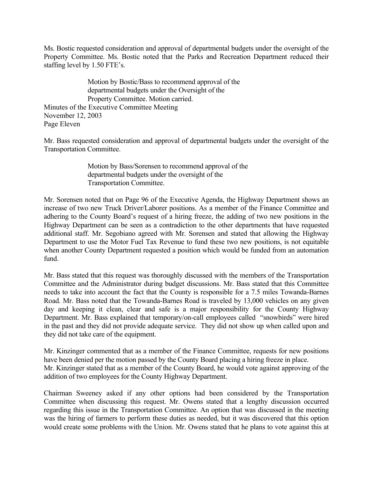Ms. Bostic requested consideration and approval of departmental budgets under the oversight of the Property Committee. Ms. Bostic noted that the Parks and Recreation Department reduced their staffing level by 1.50 FTE's.

Motion by Bostic/Bass to recommend approval of the departmental budgets under the Oversight of the Property Committee. Motion carried. Minutes of the Executive Committee Meeting November 12, 2003 Page Eleven

Mr. Bass requested consideration and approval of departmental budgets under the oversight of the Transportation Committee.

> Motion by Bass/Sorensen to recommend approval of the departmental budgets under the oversight of the Transportation Committee.

Mr. Sorensen noted that on Page 96 of the Executive Agenda, the Highway Department shows an increase of two new Truck Driver/Laborer positions. As a member of the Finance Committee and adhering to the County Board's request of a hiring freeze, the adding of two new positions in the Highway Department can be seen as a contradiction to the other departments that have requested additional staff. Mr. Segobiano agreed with Mr. Sorensen and stated that allowing the Highway Department to use the Motor Fuel Tax Revenue to fund these two new positions, is not equitable when another County Department requested a position which would be funded from an automation fund.

Mr. Bass stated that this request was thoroughly discussed with the members of the Transportation Committee and the Administrator during budget discussions. Mr. Bass stated that this Committee needs to take into account the fact that the County is responsible for a 7.5 miles Towanda-Barnes Road. Mr. Bass noted that the Towanda-Barnes Road is traveled by 13,000 vehicles on any given day and keeping it clean, clear and safe is a major responsibility for the County Highway Department. Mr. Bass explained that temporary/on-call employees called "snowbirds" were hired in the past and they did not provide adequate service. They did not show up when called upon and they did not take care of the equipment.

Mr. Kinzinger commented that as a member of the Finance Committee, requests for new positions have been denied per the motion passed by the County Board placing a hiring freeze in place. Mr. Kinzinger stated that as a member of the County Board, he would vote against approving of the addition of two employees for the County Highway Department.

Chairman Sweeney asked if any other options had been considered by the Transportation Committee when discussing this request. Mr. Owens stated that a lengthy discussion occurred regarding this issue in the Transportation Committee. An option that was discussed in the meeting was the hiring of farmers to perform these duties as needed, but it was discovered that this option would create some problems with the Union. Mr. Owens stated that he plans to vote against this at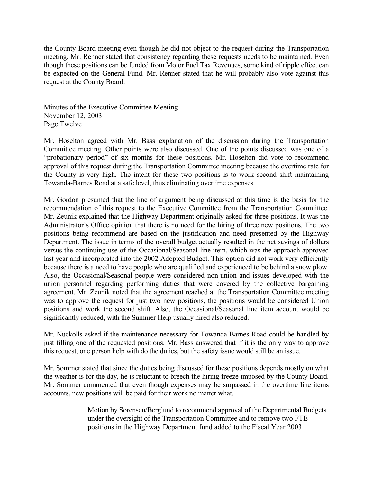the County Board meeting even though he did not object to the request during the Transportation meeting. Mr. Renner stated that consistency regarding these requests needs to be maintained. Even though these positions can be funded from Motor Fuel Tax Revenues, some kind of ripple effect can be expected on the General Fund. Mr. Renner stated that he will probably also vote against this request at the County Board.

Minutes of the Executive Committee Meeting November 12, 2003 Page Twelve

Mr. Hoselton agreed with Mr. Bass explanation of the discussion during the Transportation Committee meeting. Other points were also discussed. One of the points discussed was one of a "probationary period" of six months for these positions. Mr. Hoselton did vote to recommend approval of this request during the Transportation Committee meeting because the overtime rate for the County is very high. The intent for these two positions is to work second shift maintaining Towanda-Barnes Road at a safe level, thus eliminating overtime expenses.

Mr. Gordon presumed that the line of argument being discussed at this time is the basis for the recommendation of this request to the Executive Committee from the Transportation Committee. Mr. Zeunik explained that the Highway Department originally asked for three positions. It was the Administrator's Office opinion that there is no need for the hiring of three new positions. The two positions being recommend are based on the justification and need presented by the Highway Department. The issue in terms of the overall budget actually resulted in the net savings of dollars versus the continuing use of the Occasional/Seasonal line item, which was the approach approved last year and incorporated into the 2002 Adopted Budget. This option did not work very efficiently because there is a need to have people who are qualified and experienced to be behind a snow plow. Also, the Occasional/Seasonal people were considered non-union and issues developed with the union personnel regarding performing duties that were covered by the collective bargaining agreement. Mr. Zeunik noted that the agreement reached at the Transportation Committee meeting was to approve the request for just two new positions, the positions would be considered Union positions and work the second shift. Also, the Occasional/Seasonal line item account would be significantly reduced, with the Summer Help usually hired also reduced.

Mr. Nuckolls asked if the maintenance necessary for Towanda-Barnes Road could be handled by just filling one of the requested positions. Mr. Bass answered that if it is the only way to approve this request, one person help with do the duties, but the safety issue would still be an issue.

Mr. Sommer stated that since the duties being discussed for these positions depends mostly on what the weather is for the day, he is reluctant to breech the hiring freeze imposed by the County Board. Mr. Sommer commented that even though expenses may be surpassed in the overtime line items accounts, new positions will be paid for their work no matter what.

> Motion by Sorensen/Berglund to recommend approval of the Departmental Budgets under the oversight of the Transportation Committee and to remove two FTE positions in the Highway Department fund added to the Fiscal Year 2003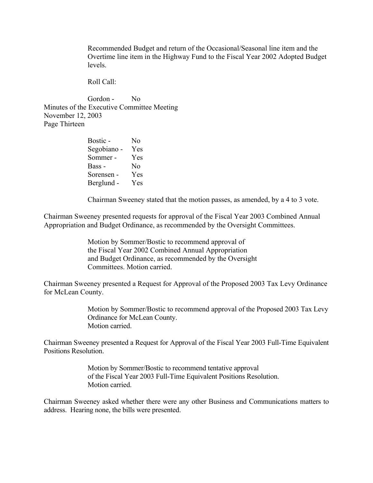Recommended Budget and return of the Occasional/Seasonal line item and the Overtime line item in the Highway Fund to the Fiscal Year 2002 Adopted Budget levels.

Roll Call:

Gordon - No Minutes of the Executive Committee Meeting November 12, 2003 Page Thirteen

| Bostic -    | N <sub>0</sub> |
|-------------|----------------|
| Segobiano - | Yes            |
| Sommer -    | Yes            |
| Bass -      | No             |
| Sorensen -  | Yes            |
| Berglund -  | Yes            |

Chairman Sweeney stated that the motion passes, as amended, by a 4 to 3 vote.

Chairman Sweeney presented requests for approval of the Fiscal Year 2003 Combined Annual Appropriation and Budget Ordinance, as recommended by the Oversight Committees.

> Motion by Sommer/Bostic to recommend approval of the Fiscal Year 2002 Combined Annual Appropriation and Budget Ordinance, as recommended by the Oversight Committees. Motion carried.

Chairman Sweeney presented a Request for Approval of the Proposed 2003 Tax Levy Ordinance for McLean County.

> Motion by Sommer/Bostic to recommend approval of the Proposed 2003 Tax Levy Ordinance for McLean County. Motion carried.

Chairman Sweeney presented a Request for Approval of the Fiscal Year 2003 Full-Time Equivalent Positions Resolution.

> Motion by Sommer/Bostic to recommend tentative approval of the Fiscal Year 2003 Full-Time Equivalent Positions Resolution. Motion carried.

Chairman Sweeney asked whether there were any other Business and Communications matters to address. Hearing none, the bills were presented.